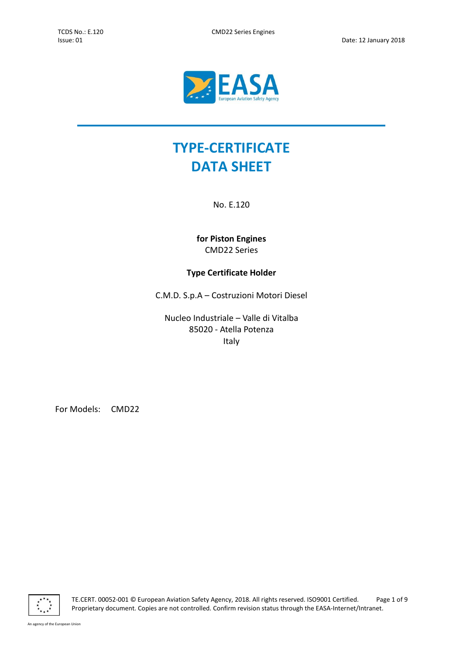

# **TYPE-CERTIFICATE DATA SHEET**

No. E.120

**for Piston Engines** CMD22 Series

# **Type Certificate Holder**

C.M.D. S.p.A – Costruzioni Motori Diesel

Nucleo Industriale – Valle di Vitalba 85020 - Atella Potenza Italy

For Models: CMD22



TE.CERT. 00052-001 © European Aviation Safety Agency, 2018. All rights reserved. ISO9001 Certified. Page 1 of 9 Proprietary document. Copies are not controlled. Confirm revision status through the EASA-Internet/Intranet.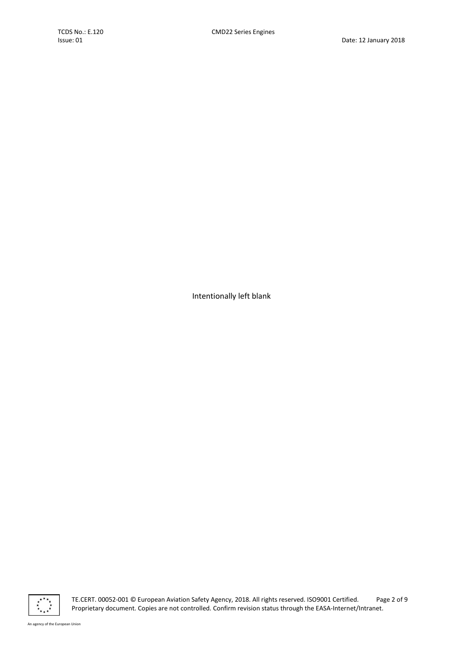Intentionally left blank



TE.CERT. 00052-001 © European Aviation Safety Agency, 2018. All rights reserved. ISO9001 Certified. Page 2 of 9 Proprietary document. Copies are not controlled. Confirm revision status through the EASA-Internet/Intranet.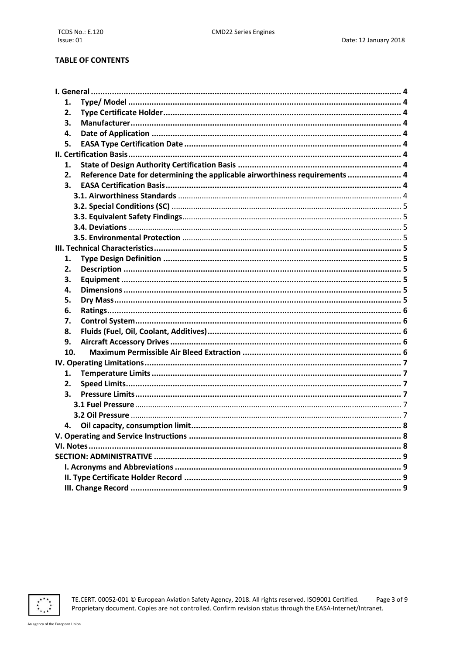# **TABLE OF CONTENTS**

| 1.                                                                                |  |
|-----------------------------------------------------------------------------------|--|
| 2.                                                                                |  |
| 3.                                                                                |  |
| 4.                                                                                |  |
| 5.                                                                                |  |
|                                                                                   |  |
| 1.                                                                                |  |
| Reference Date for determining the applicable airworthiness requirements  4<br>2. |  |
| 3.                                                                                |  |
|                                                                                   |  |
|                                                                                   |  |
|                                                                                   |  |
|                                                                                   |  |
|                                                                                   |  |
|                                                                                   |  |
| 1.                                                                                |  |
| 2.                                                                                |  |
| З.                                                                                |  |
| 4.                                                                                |  |
| 5.                                                                                |  |
| 6.                                                                                |  |
| 7.                                                                                |  |
| 8.                                                                                |  |
| 9.                                                                                |  |
| 10.                                                                               |  |
|                                                                                   |  |
| 1.                                                                                |  |
| 2.                                                                                |  |
| 3.                                                                                |  |
|                                                                                   |  |
|                                                                                   |  |
| 4.                                                                                |  |
|                                                                                   |  |
|                                                                                   |  |
|                                                                                   |  |
|                                                                                   |  |
|                                                                                   |  |
|                                                                                   |  |
|                                                                                   |  |

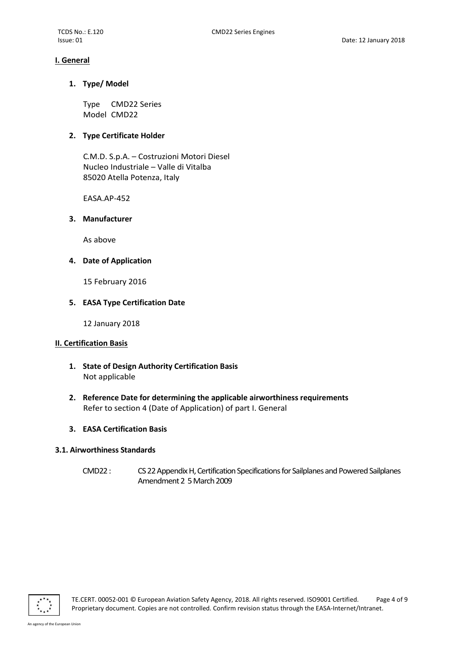#### <span id="page-3-0"></span>**I. General**

## <span id="page-3-1"></span>**1. Type/ Model**

Type CMD22 Series Model CMD22

#### <span id="page-3-2"></span>**2. Type Certificate Holder**

C.M.D. S.p.A. – Costruzioni Motori Diesel Nucleo Industriale – Valle di Vitalba 85020 Atella Potenza, Italy

EASA.AP-452

<span id="page-3-3"></span>**3. Manufacturer**

As above

## <span id="page-3-4"></span>**4. Date of Application**

15 February 2016

#### <span id="page-3-5"></span>**5. EASA Type Certification Date**

12 January 2018

#### <span id="page-3-6"></span>**II. Certification Basis**

- <span id="page-3-7"></span>**1. State of Design Authority Certification Basis** Not applicable
- <span id="page-3-8"></span>**2. Reference Date for determining the applicable airworthiness requirements** Refer to section 4 (Date of Application) of part I. General
- <span id="page-3-9"></span>**3. EASA Certification Basis**

## <span id="page-3-10"></span>**3.1. Airworthiness Standards**

CMD22 : CS 22 Appendix H, Certification Specifications for Sailplanes and Powered Sailplanes Amendment 2 5 March 2009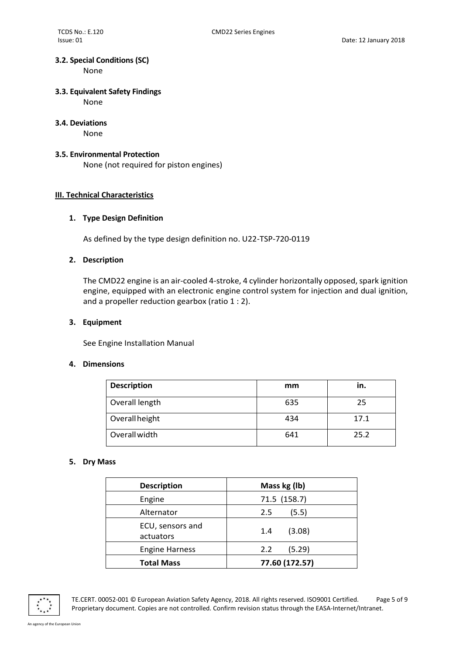# <span id="page-4-0"></span>**3.2. Special Conditions (SC)**

None

<span id="page-4-1"></span>**3.3. Equivalent Safety Findings** None

#### <span id="page-4-2"></span>**3.4. Deviations**

None

## <span id="page-4-3"></span>**3.5. Environmental Protection**

None (not required for piston engines)

## <span id="page-4-4"></span>**III. Technical Characteristics**

#### <span id="page-4-5"></span>**1. Type Design Definition**

As defined by the type design definition no. U22-TSP-720-0119

## <span id="page-4-6"></span>**2. Description**

The CMD22 engine is an air-cooled 4-stroke, 4 cylinder horizontally opposed, spark ignition engine, equipped with an electronic engine control system for injection and dual ignition, and a propeller reduction gearbox (ratio 1 : 2).

#### <span id="page-4-7"></span>**3. Equipment**

See Engine Installation Manual

#### <span id="page-4-8"></span>**4. Dimensions**

| <b>Description</b> | mm  | in.  |
|--------------------|-----|------|
| Overall length     | 635 | 25   |
| Overall height     | 434 | 17.1 |
| Overall width      | 641 | 25.2 |

## <span id="page-4-9"></span>**5. Dry Mass**

| <b>Description</b>            | Mass kg (lb)   |
|-------------------------------|----------------|
| Engine                        | 71.5 (158.7)   |
| Alternator                    | (5.5)<br>2.5   |
| ECU, sensors and<br>actuators | (3.08)<br>1.4  |
| <b>Engine Harness</b>         | (5.29)<br>2.2  |
| <b>Total Mass</b>             | 77.60 (172.57) |



TE.CERT. 00052-001 © European Aviation Safety Agency, 2018. All rights reserved. ISO9001 Certified. Page 5 of 9 Proprietary document. Copies are not controlled. Confirm revision status through the EASA-Internet/Intranet.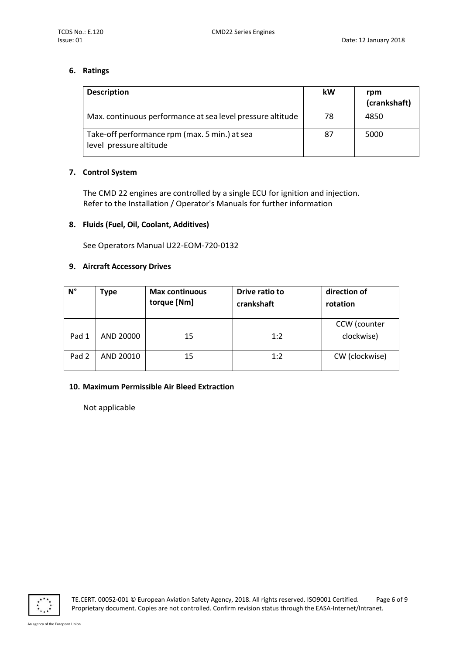## <span id="page-5-0"></span>**6. Ratings**

| <b>Description</b>                                                       | kW | rpm<br>(crankshaft) |
|--------------------------------------------------------------------------|----|---------------------|
| Max. continuous performance at sea level pressure altitude               | 78 | 4850                |
| Take-off performance rpm (max. 5 min.) at sea<br>level pressure altitude | 87 | 5000                |

## <span id="page-5-1"></span>**7. Control System**

The CMD 22 engines are controlled by a single ECU for ignition and injection. Refer to the Installation / Operator's Manuals for further information

#### <span id="page-5-2"></span>**8. Fluids (Fuel, Oil, Coolant, Additives)**

See Operators Manual U22-EOM-720-0132

#### <span id="page-5-3"></span>**9. Aircraft Accessory Drives**

| $N^{\circ}$      | Type      | <b>Max continuous</b><br>torque [Nm] | Drive ratio to<br>crankshaft | direction of<br>rotation   |
|------------------|-----------|--------------------------------------|------------------------------|----------------------------|
| Pad 1            | AND 20000 | 15                                   | 1:2                          | CCW (counter<br>clockwise) |
| Pad <sub>2</sub> | AND 20010 | 15                                   | 1:2                          | CW (clockwise)             |

## <span id="page-5-4"></span>**10. Maximum Permissible Air Bleed Extraction**

Not applicable



TE.CERT. 00052-001 © European Aviation Safety Agency, 2018. All rights reserved. ISO9001 Certified. Page 6 of 9 Proprietary document. Copies are not controlled. Confirm revision status through the EASA-Internet/Intranet.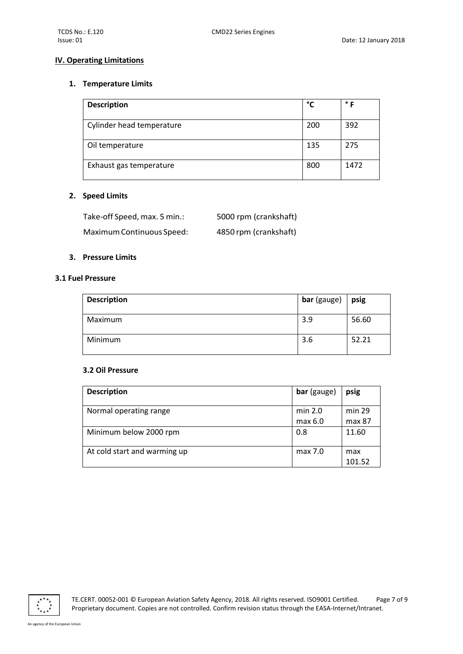## <span id="page-6-0"></span>**IV. Operating Limitations**

#### <span id="page-6-1"></span>**1. Temperature Limits**

| <b>Description</b>        | °C  | $^{\circ}$ F |
|---------------------------|-----|--------------|
| Cylinder head temperature | 200 | 392          |
| Oil temperature           | 135 | 275          |
| Exhaust gas temperature   | 800 | 1472         |

#### <span id="page-6-2"></span>**2. Speed Limits**

| Take-off Speed, max. 5 min.: | 5000 rpm (crankshaft) |
|------------------------------|-----------------------|
| Maximum Continuous Speed:    | 4850 rpm (crankshaft) |

#### <span id="page-6-3"></span>**3. Pressure Limits**

## <span id="page-6-4"></span>**3.1 Fuel Pressure**

| <b>Description</b> | <b>bar</b> (gauge) | psig  |
|--------------------|--------------------|-------|
| Maximum            | 3.9                | 56.60 |
| Minimum            | 3.6                | 52.21 |

#### <span id="page-6-5"></span>**3.2 Oil Pressure**

| <b>Description</b>           | bar (gauge) | psig   |
|------------------------------|-------------|--------|
|                              |             |        |
| Normal operating range       | min 2.0     | min 29 |
|                              | max 6.0     | max 87 |
| Minimum below 2000 rpm       | 0.8         | 11.60  |
| At cold start and warming up | max 7.0     | max    |
|                              |             | 101.52 |

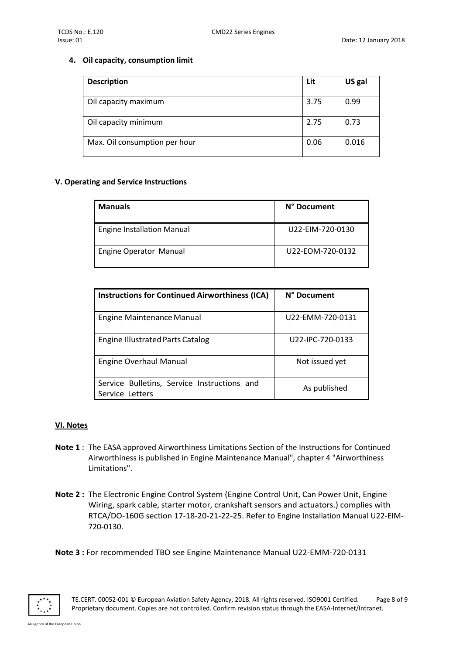## <span id="page-7-0"></span>**4. Oil capacity, consumption limit**

| <b>Description</b>            | Lit  | US gal |
|-------------------------------|------|--------|
| Oil capacity maximum          | 3.75 | 0.99   |
| Oil capacity minimum          | 2.75 | 0.73   |
| Max. Oil consumption per hour | 0.06 | 0.016  |

## <span id="page-7-1"></span>**V. Operating and Service Instructions**

| <b>Manuals</b>                    | N° Document      |
|-----------------------------------|------------------|
| <b>Engine Installation Manual</b> | U22-EIM-720-0130 |
| <b>Engine Operator Manual</b>     | U22-EOM-720-0132 |

| <b>Instructions for Continued Airworthiness (ICA)</b>          | N° Document      |
|----------------------------------------------------------------|------------------|
| Engine Maintenance Manual                                      | U22-EMM-720-0131 |
| <b>Engine Illustrated Parts Catalog</b>                        | U22-IPC-720-0133 |
| Engine Overhaul Manual                                         | Not issued yet   |
| Service Bulletins, Service Instructions and<br>Service Letters | As published     |

## <span id="page-7-2"></span>**VI. Notes**

- **Note 1** : The EASA approved Airworthiness Limitations Section of the Instructions for Continued Airworthiness is published in Engine Maintenance Manual", chapter 4 "Airworthiness Limitations".
- **Note 2 :** The Electronic Engine Control System (Engine Control Unit, Can Power Unit, Engine Wiring, spark cable, starter motor, crankshaft sensors and actuators.) complies with RTCA/DO-160G section 17-18-20-21-22-25. Refer to Engine Installation Manual U22-EIM-720-0130.

## **Note 3 :** For recommended TBO see Engine Maintenance Manual U22-EMM-720-0131



TE.CERT. 00052-001 © European Aviation Safety Agency, 2018. All rights reserved. ISO9001 Certified. Page 8 of 9 Proprietary document. Copies are not controlled. Confirm revision status through the EASA-Internet/Intranet.